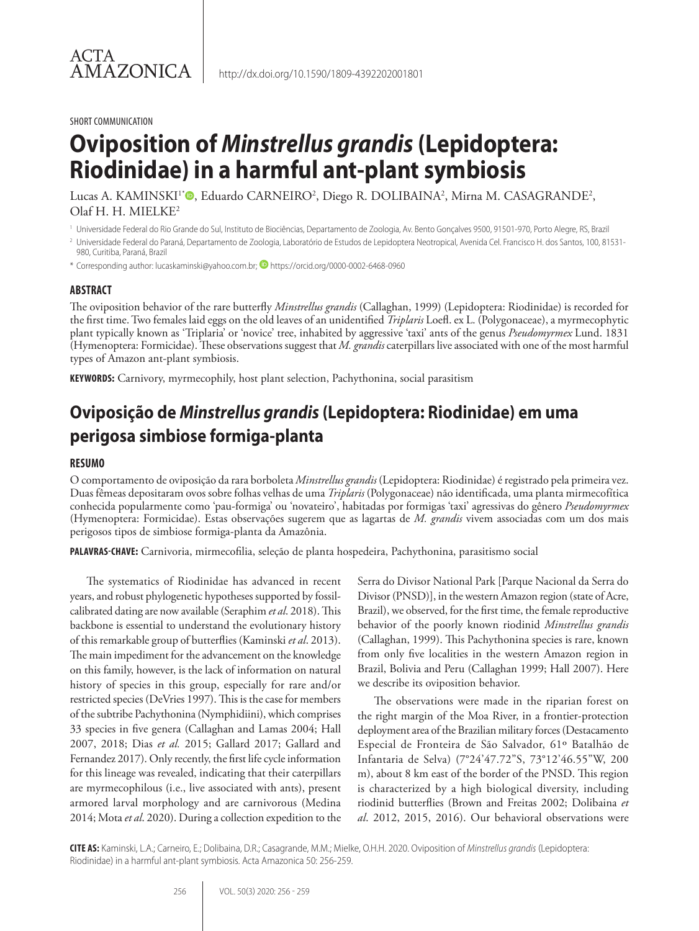#### SHORT COMMUNICATION

# **Oviposition of** *Minstrellus grandis* **(Lepidoptera: Riodinidae) in a harmful ant-plant symbiosis**

Lucas A. KAMINSKI'\*®, Eduardo CARNEIRO<sup>2</sup>, Diego R. DOLIBAINA<sup>2</sup>, Mirna M. CASAGRANDE<sup>2</sup>, Olaf H. H. MIELKE2

<sup>1</sup> Universidade Federal do Rio Grande do Sul, Instituto de Biociências, Departamento de Zoologia, Av. Bento Gonçalves 9500, 91501-970, Porto Alegre, RS, Brazil

<sup>2</sup> Universidade Federal do Paraná, Departamento de Zoologia, Laboratório de Estudos de Lepidoptera Neotropical, Avenida Cel. Francisco H. dos Santos, 100, 81531-980, Curitiba, Paraná, Brazil

\* Corresponding author: lucaskaminski@yahoo.com.br; **D** https://orcid.org/0000-0002-6468-0960

### **ABSTRACT**

The oviposition behavior of the rare butterfly *Minstrellus grandis* (Callaghan, 1999) (Lepidoptera: Riodinidae) is recorded for the first time. Two females laid eggs on the old leaves of an unidentified *Triplaris* Loefl. ex L. (Polygonaceae), a myrmecophytic plant typically known as 'Triplaria' or 'novice' tree, inhabited by aggressive 'taxi' ants of the genus *Pseudomyrmex* Lund. 1831 (Hymenoptera: Formicidae). These observations suggest that *M. grandis* caterpillars live associated with one of the most harmful types of Amazon ant-plant symbiosis.

**KEYWORDS:** Carnivory, myrmecophily, host plant selection, Pachythonina, social parasitism

## **Oviposição de** *Minstrellus grandis* **(Lepidoptera: Riodinidae) em uma perigosa simbiose formiga-planta**

### **RESUMO**

O comportamento de oviposição da rara borboleta *Minstrellus grandis* (Lepidoptera: Riodinidae) é registrado pela primeira vez. Duas fêmeas depositaram ovos sobre folhas velhas de uma *Triplaris* (Polygonaceae) não identificada, uma planta mirmecofítica conhecida popularmente como 'pau-formiga' ou 'novateiro', habitadas por formigas 'taxi' agressivas do gênero *Pseudomyrmex*  (Hymenoptera: Formicidae). Estas observações sugerem que as lagartas de *M. grandis* vivem associadas com um dos mais perigosos tipos de simbiose formiga-planta da Amazônia.

**PALAVRAS-CHAVE:** Carnivoria, mirmecofilia, seleção de planta hospedeira, Pachythonina, parasitismo social

The systematics of Riodinidae has advanced in recent years, and robust phylogenetic hypotheses supported by fossilcalibrated dating are now available (Seraphim *et al*. 2018). This backbone is essential to understand the evolutionary history of this remarkable group of butterflies (Kaminski *et al*. 2013). The main impediment for the advancement on the knowledge on this family, however, is the lack of information on natural history of species in this group, especially for rare and/or restricted species (DeVries 1997). This is the case for members of the subtribe Pachythonina (Nymphidiini), which comprises 33 species in five genera (Callaghan and Lamas 2004; Hall 2007, 2018; Dias *et al.* 2015; Gallard 2017; Gallard and Fernandez 2017). Only recently, the first life cycle information for this lineage was revealed, indicating that their caterpillars are myrmecophilous (i.e., live associated with ants), present armored larval morphology and are carnivorous (Medina 2014; Mota *et al*. 2020). During a collection expedition to the

Serra do Divisor National Park [Parque Nacional da Serra do Divisor (PNSD)], in the western Amazon region (state of Acre, Brazil), we observed, for the first time, the female reproductive behavior of the poorly known riodinid *Minstrellus grandis*  (Callaghan, 1999). This Pachythonina species is rare, known from only five localities in the western Amazon region in Brazil, Bolivia and Peru (Callaghan 1999; Hall 2007). Here we describe its oviposition behavior.

The observations were made in the riparian forest on the right margin of the Moa River, in a frontier-protection deployment area of the Brazilian military forces (Destacamento Especial de Fronteira de São Salvador, 61º Batalhão de Infantaria de Selva) (7°24'47.72"S, 73°12'46.55"W, 200 m), about 8 km east of the border of the PNSD. This region is characterized by a high biological diversity, including riodinid butterflies (Brown and Freitas 2002; Dolibaina *et al*. 2012, 2015, 2016). Our behavioral observations were

**CITE AS:** Kaminski, L.A.; Carneiro, E.; Dolibaina, D.R.; Casagrande, M.M.; Mielke, O.H.H. 2020. Oviposition of *Minstrellus grandis* (Lepidoptera: Riodinidae) in a harmful ant-plant symbiosis. Acta Amazonica 50: 256-259.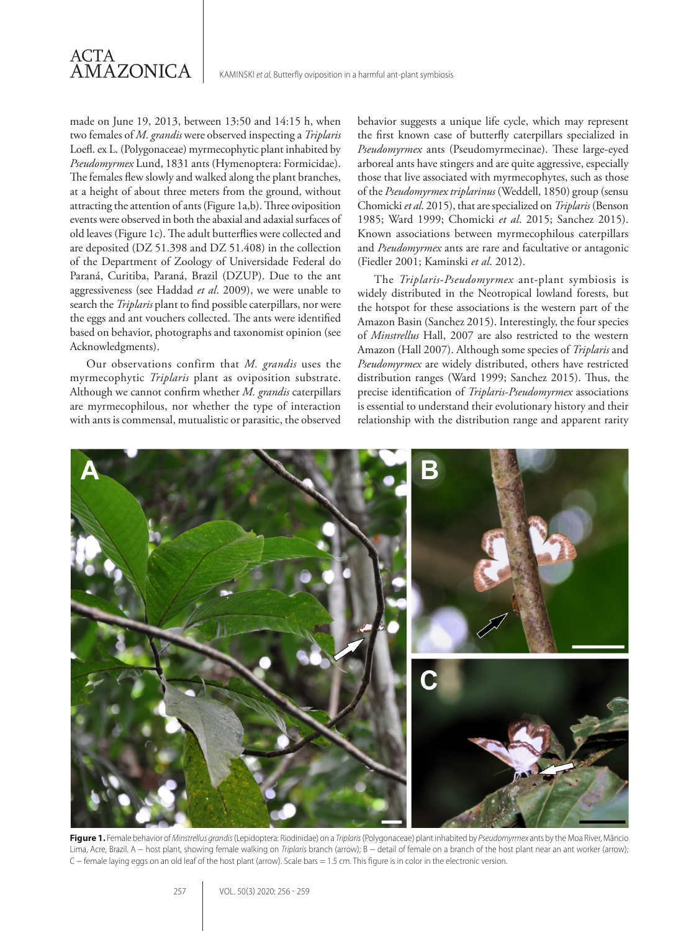

made on June 19, 2013, between 13:50 and 14:15 h, when two females of *M. grandis* were observed inspecting a *Triplaris* Loefl. ex L. (Polygonaceae) myrmecophytic plant inhabited by *Pseudomyrmex* Lund, 1831 ants (Hymenoptera: Formicidae). The females flew slowly and walked along the plant branches, at a height of about three meters from the ground, without attracting the attention of ants (Figure 1a,b). Three oviposition events were observed in both the abaxial and adaxial surfaces of old leaves (Figure 1c). The adult butterflies were collected and are deposited (DZ 51.398 and DZ 51.408) in the collection of the Department of Zoology of Universidade Federal do Paraná, Curitiba, Paraná, Brazil (DZUP). Due to the ant aggressiveness (see Haddad *et al*. 2009), we were unable to search the *Triplaris* plant to find possible caterpillars, nor were the eggs and ant vouchers collected. The ants were identified based on behavior, photographs and taxonomist opinion (see Acknowledgments).

Our observations confirm that *M. grandis* uses the myrmecophytic *Triplaris* plant as oviposition substrate. Although we cannot confirm whether *M. grandis* caterpillars are myrmecophilous, nor whether the type of interaction with ants is commensal, mutualistic or parasitic, the observed behavior suggests a unique life cycle, which may represent the first known case of butterfly caterpillars specialized in *Pseudomyrmex* ants (Pseudomyrmecinae). These large-eyed arboreal ants have stingers and are quite aggressive, especially those that live associated with myrmecophytes, such as those of the *Pseudomyrmex triplarinus* (Weddell, 1850) group (sensu Chomicki *et al*. 2015), that are specialized on *Triplaris* (Benson 1985; Ward 1999; Chomicki *et al*. 2015; Sanchez 2015). Known associations between myrmecophilous caterpillars and *Pseudomyrmex* ants are rare and facultative or antagonic (Fiedler 2001; Kaminski *et al*. 2012).

The *Triplaris*-*Pseudomyrmex* ant-plant symbiosis is widely distributed in the Neotropical lowland forests, but the hotspot for these associations is the western part of the Amazon Basin (Sanchez 2015). Interestingly, the four species of *Minstrellus* Hall, 2007 are also restricted to the western Amazon (Hall 2007). Although some species of *Triplaris* and *Pseudomyrmex* are widely distributed, others have restricted distribution ranges (Ward 1999; Sanchez 2015). Thus, the precise identification of *Triplaris*-*Pseudomyrmex* associations is essential to understand their evolutionary history and their relationship with the distribution range and apparent rarity



**Figure 1.** Female behavior of *Minstrellus grandis* (Lepidoptera: Riodinidae) on a *Triplaris* (Polygonaceae) plant inhabited by *Pseudomyrmex* ants by the Moa River, Mâncio Lima, Acre, Brazil. A − host plant, showing female walking on *Triplaris* branch (arrow); B − detail of female on a branch of the host plant near an ant worker (arrow); C − female laying eggs on an old leaf of the host plant (arrow). Scale bars = 1.5 cm. This figure is in color in the electronic version.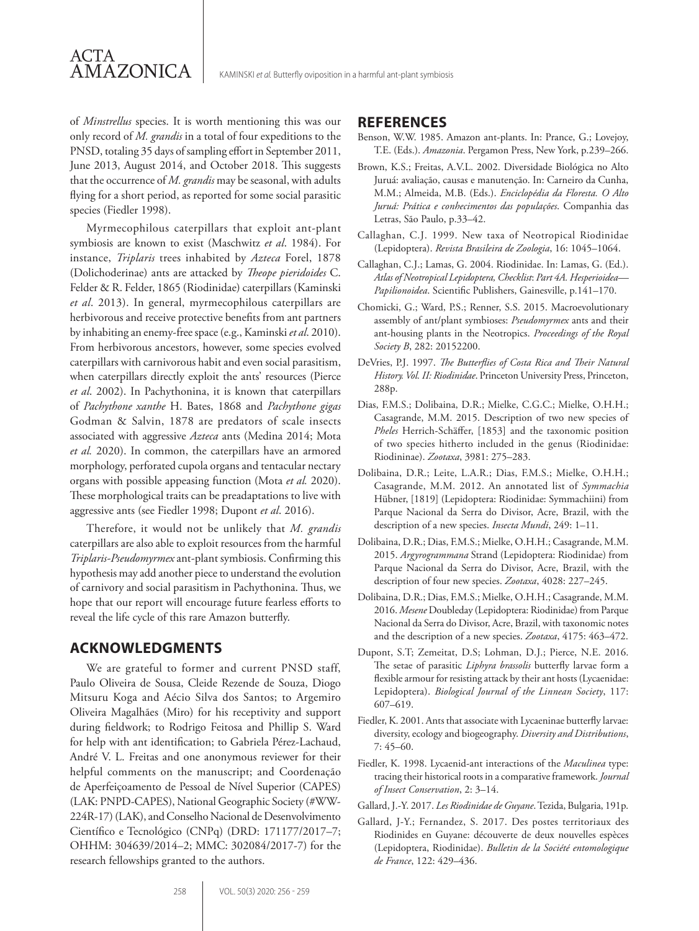of *Minstrellus* species. It is worth mentioning this was our only record of *M. grandis* in a total of four expeditions to the PNSD, totaling 35 days of sampling effort in September 2011, June 2013, August 2014, and October 2018. This suggests that the occurrence of *M. grandis* may be seasonal, with adults flying for a short period, as reported for some social parasitic species (Fiedler 1998).

ACTA

AMAZONICA

Myrmecophilous caterpillars that exploit ant-plant symbiosis are known to exist (Maschwitz *et al*. 1984). For instance, *Triplaris* trees inhabited by *Azteca* Forel, 1878 (Dolichoderinae) ants are attacked by *Theope pieridoides* C. Felder & R. Felder, 1865 (Riodinidae) caterpillars (Kaminski *et al*. 2013). In general, myrmecophilous caterpillars are herbivorous and receive protective benefits from ant partners by inhabiting an enemy-free space (e.g., Kaminski *et al*. 2010). From herbivorous ancestors, however, some species evolved caterpillars with carnivorous habit and even social parasitism, when caterpillars directly exploit the ants' resources (Pierce *et al*. 2002). In Pachythonina, it is known that caterpillars of *Pachythone xanthe* H. Bates, 1868 and *Pachythone gigas*  Godman & Salvin, 1878 are predators of scale insects associated with aggressive *Azteca* ants (Medina 2014; Mota *et al.* 2020). In common, the caterpillars have an armored morphology, perforated cupola organs and tentacular nectary organs with possible appeasing function (Mota *et al.* 2020). These morphological traits can be preadaptations to live with aggressive ants (see Fiedler 1998; Dupont *et al*. 2016).

Therefore, it would not be unlikely that *M. grandis* caterpillars are also able to exploit resources from the harmful *Triplaris-Pseudomyrmex* ant-plant symbiosis. Confirming this hypothesis may add another piece to understand the evolution of carnivory and social parasitism in Pachythonina. Thus, we hope that our report will encourage future fearless efforts to reveal the life cycle of this rare Amazon butterfly.

### **ACKNOWLEDGMENTS**

We are grateful to former and current PNSD staff, Paulo Oliveira de Sousa, Cleide Rezende de Souza, Diogo Mitsuru Koga and Aécio Silva dos Santos; to Argemiro Oliveira Magalhães (Miro) for his receptivity and support during fieldwork; to Rodrigo Feitosa and Phillip S. Ward for help with ant identification; to Gabriela Pérez-Lachaud, André V. L. Freitas and one anonymous reviewer for their helpful comments on the manuscript; and Coordenação de Aperfeiçoamento de Pessoal de Nível Superior (CAPES) (LAK: PNPD-CAPES), National Geographic Society (#WW-224R-17) (LAK), and Conselho Nacional de Desenvolvimento Científico e Tecnológico (CNPq) (DRD: 171177/2017–7; OHHM: 304639/2014–2; MMC: 302084/2017-7) for the research fellowships granted to the authors.

### **REFERENCES**

- Benson, W.W. 1985. Amazon ant-plants. In: Prance, G.; Lovejoy, T.E. (Eds.). *Amazonia*. Pergamon Press, New York, p.239–266.
- Brown, K.S.; Freitas, A.V.L. 2002. Diversidade Biológica no Alto Juruá: avaliação, causas e manutenção. In: Carneiro da Cunha, M.M.; Almeida, M.B. (Eds.). *Enciclopédia da Floresta. O Alto Juruá: Prática e conhecimentos das populações*. Companhia das Letras, São Paulo, p.33–42.
- Callaghan, C.J. 1999. New taxa of Neotropical Riodinidae (Lepidoptera). *Revista Brasileira de Zoologia*, 16: 1045–1064.
- Callaghan, C.J.; Lamas, G. 2004. Riodinidae. In: Lamas, G. (Ed.). *Atlas of Neotropical Lepidoptera, Checklist*: *Part 4A. Hesperioidea— Papilionoidea*. Scientific Publishers, Gainesville, p.141–170.
- Chomicki, G.; Ward, P.S.; Renner, S.S. 2015. Macroevolutionary assembly of ant/plant symbioses: *Pseudomyrmex* ants and their ant-housing plants in the Neotropics. *Proceedings of the Royal Society B*, 282: 20152200.
- DeVries, P.J. 1997. *The Butterflies of Costa Rica and Their Natural History. Vol. II: Riodinidae*. Princeton University Press, Princeton, 288p.
- Dias, F.M.S.; Dolibaina, D.R.; Mielke, C.G.C.; Mielke, O.H.H.; Casagrande, M.M. 2015. Description of two new species of *Pheles* Herrich-Schäffer, [1853] and the taxonomic position of two species hitherto included in the genus (Riodinidae: Riodininae). *Zootaxa*, 3981: 275–283.
- Dolibaina, D.R.; Leite, L.A.R.; Dias, F.M.S.; Mielke, O.H.H.; Casagrande, M.M. 2012. An annotated list of *Symmachia* Hübner, [1819] (Lepidoptera: Riodinidae: Symmachiini) from Parque Nacional da Serra do Divisor, Acre, Brazil, with the description of a new species. *Insecta Mundi*, 249: 1–11.
- Dolibaina, D.R.; Dias, F.M.S.; Mielke, O.H.H.; Casagrande, M.M. 2015. *Argyrogrammana* Strand (Lepidoptera: Riodinidae) from Parque Nacional da Serra do Divisor, Acre, Brazil, with the description of four new species. *Zootaxa*, 4028: 227–245.
- Dolibaina, D.R.; Dias, F.M.S.; Mielke, O.H.H.; Casagrande, M.M. 2016. *Mesene* Doubleday (Lepidoptera: Riodinidae) from Parque Nacional da Serra do Divisor, Acre, Brazil, with taxonomic notes and the description of a new species. *Zootaxa*, 4175: 463–472.
- Dupont, S.T; Zemeitat, D.S; Lohman, D.J.; Pierce, N.E. 2016. The setae of parasitic *Liphyra brassolis* butterfly larvae form a flexible armour for resisting attack by their ant hosts (Lycaenidae: Lepidoptera). *Biological Journal of the Linnean Society*, 117: 607–619.
- Fiedler, K. 2001. Ants that associate with Lycaeninae butterfly larvae: diversity, ecology and biogeography. *Diversity and Distributions*, 7: 45–60.
- Fiedler, K. 1998. Lycaenid-ant interactions of the *Maculinea* type: tracing their historical roots in a comparative framework. *Journal of Insect Conservation*, 2: 3–14.
- Gallard, J.-Y. 2017. *Les Riodinidae de Guyane*. Tezida, Bulgaria, 191p.
- Gallard, J-Y.; Fernandez, S. 2017. Des postes territoriaux des Riodinides en Guyane: découverte de deux nouvelles espèces (Lepidoptera, Riodinidae). *Bulletin de la Société entomologique de France*, 122: 429–436.